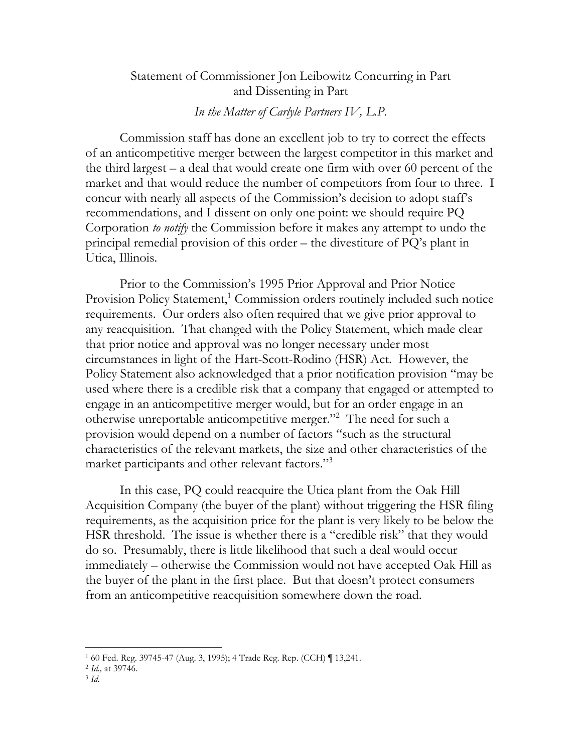## Statement of Commissioner Jon Leibowitz Concurring in Part and Dissenting in Part

## *In the Matter of Carlyle Partners IV, L.P.*

Commission staff has done an excellent job to try to correct the effects of an anticompetitive merger between the largest competitor in this market and the third largest – a deal that would create one firm with over 60 percent of the market and that would reduce the number of competitors from four to three. I concur with nearly all aspects of the Commission's decision to adopt staff's recommendations, and I dissent on only one point: we should require PQ Corporation *to notify* the Commission before it makes any attempt to undo the principal remedial provision of this order – the divestiture of PQ's plant in Utica, Illinois.

Prior to the Commission's 1995 Prior Approval and Prior Notice Provision Policy Statement,<sup>1</sup> Commission orders routinely included such notice requirements. Our orders also often required that we give prior approval to any reacquisition. That changed with the Policy Statement, which made clear that prior notice and approval was no longer necessary under most circumstances in light of the Hart-Scott-Rodino (HSR) Act. However, the Policy Statement also acknowledged that a prior notification provision "may be used where there is a credible risk that a company that engaged or attempted to engage in an anticompetitive merger would, but for an order engage in an otherwise unreportable anticompetitive merger."2 The need for such a provision would depend on a number of factors "such as the structural characteristics of the relevant markets, the size and other characteristics of the market participants and other relevant factors."<sup>3</sup>

In this case, PQ could reacquire the Utica plant from the Oak Hill Acquisition Company (the buyer of the plant) without triggering the HSR filing requirements, as the acquisition price for the plant is very likely to be below the HSR threshold. The issue is whether there is a "credible risk" that they would do so. Presumably, there is little likelihood that such a deal would occur immediately – otherwise the Commission would not have accepted Oak Hill as the buyer of the plant in the first place. But that doesn't protect consumers from an anticompetitive reacquisition somewhere down the road.

 $\overline{a}$ 

<sup>1 60</sup> Fed. Reg. 39745-47 (Aug. 3, 1995); 4 Trade Reg. Rep. (CCH) ¶ 13,241. 2 *Id.,* at 39746. 3 *Id.*